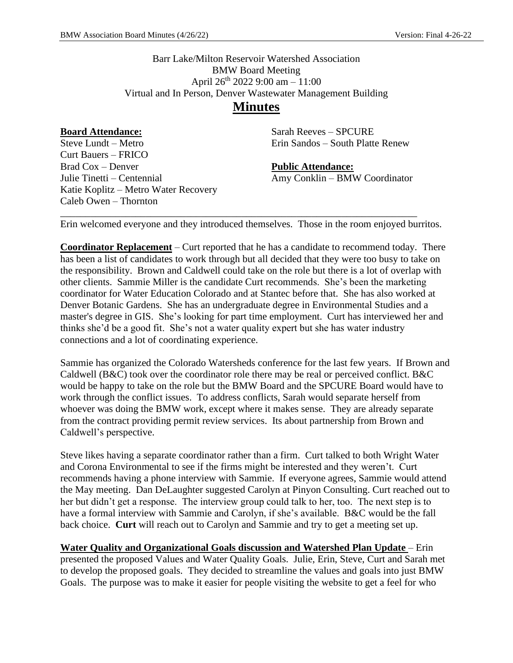Barr Lake/Milton Reservoir Watershed Association BMW Board Meeting April 26th 2022 9:00 am – 11:00 Virtual and In Person, Denver Wastewater Management Building

# **Minutes**

**Board Attendance:** Steve Lundt – Metro Curt Bauers – FRICO Brad Cox – Denver Julie Tinetti – Centennial Katie Koplitz – Metro Water Recovery Caleb Owen – Thornton

Sarah Reeves – SPCURE Erin Sandos – South Platte Renew

**Public Attendance:** Amy Conklin – BMW Coordinator

Erin welcomed everyone and they introduced themselves. Those in the room enjoyed burritos.

\_\_\_\_\_\_\_\_\_\_\_\_\_\_\_\_\_\_\_\_\_\_\_\_\_\_\_\_\_\_\_\_\_\_\_\_\_\_\_\_\_\_\_\_\_\_\_\_\_\_\_\_\_\_\_\_\_\_\_\_\_\_\_\_\_\_\_\_\_\_\_

**Coordinator Replacement** – Curt reported that he has a candidate to recommend today. There has been a list of candidates to work through but all decided that they were too busy to take on the responsibility. Brown and Caldwell could take on the role but there is a lot of overlap with other clients. Sammie Miller is the candidate Curt recommends. She's been the marketing coordinator for Water Education Colorado and at Stantec before that. She has also worked at Denver Botanic Gardens. She has an undergraduate degree in Environmental Studies and a master's degree in GIS. She's looking for part time employment. Curt has interviewed her and thinks she'd be a good fit. She's not a water quality expert but she has water industry connections and a lot of coordinating experience.

Sammie has organized the Colorado Watersheds conference for the last few years. If Brown and Caldwell (B&C) took over the coordinator role there may be real or perceived conflict. B&C would be happy to take on the role but the BMW Board and the SPCURE Board would have to work through the conflict issues. To address conflicts, Sarah would separate herself from whoever was doing the BMW work, except where it makes sense. They are already separate from the contract providing permit review services. Its about partnership from Brown and Caldwell's perspective.

Steve likes having a separate coordinator rather than a firm. Curt talked to both Wright Water and Corona Environmental to see if the firms might be interested and they weren't. Curt recommends having a phone interview with Sammie. If everyone agrees, Sammie would attend the May meeting. Dan DeLaughter suggested Carolyn at Pinyon Consulting. Curt reached out to her but didn't get a response. The interview group could talk to her, too. The next step is to have a formal interview with Sammie and Carolyn, if she's available. B&C would be the fall back choice. **Curt** will reach out to Carolyn and Sammie and try to get a meeting set up.

**Water Quality and Organizational Goals discussion and Watershed Plan Update** – Erin presented the proposed Values and Water Quality Goals. Julie, Erin, Steve, Curt and Sarah met to develop the proposed goals. They decided to streamline the values and goals into just BMW Goals. The purpose was to make it easier for people visiting the website to get a feel for who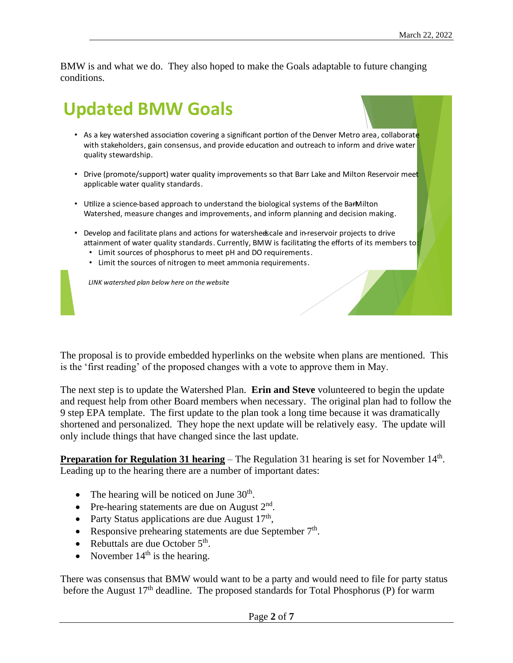BMW is and what we do. They also hoped to make the Goals adaptable to future changing conditions.

# **Updated BMW Goals**

- **.** with stakeholders, gain consensus, and provide education and outreach to inform and drive water quality stewardship.
- **.** applicable water quality standards.
- **.** Watershed, measure changes and improvements, and inform planning and decision making.
- $\bullet$ attainment of water quality standards. Currently, BMW is facilitating the efforts of its members to
	- ٠
	- **.**

**LINK** watershed plan below here on the website

The proposal is to provide embedded hyperlinks on the website when plans are mentioned. This is the 'first reading' of the proposed changes with a vote to approve them in May.

The next step is to update the Watershed Plan. **Erin and Steve** volunteered to begin the update and request help from other Board members when necessary. The original plan had to follow the 9 step EPA template. The first update to the plan took a long time because it was dramatically shortened and personalized. They hope the next update will be relatively easy. The update will only include things that have changed since the last update.

**Preparation for Regulation 31 hearing** – The Regulation 31 hearing is set for November 14<sup>th</sup>. Leading up to the hearing there are a number of important dates:

- The hearing will be noticed on June  $30<sup>th</sup>$ .
- Pre-hearing statements are due on August  $2<sup>nd</sup>$ .
- Party Status applications are due August  $17<sup>th</sup>$ ,
- Responsive prehearing statements are due September  $7<sup>th</sup>$ .
- Rebuttals are due October  $5<sup>th</sup>$ .
- November  $14<sup>th</sup>$  is the hearing.

There was consensus that BMW would want to be a party and would need to file for party status before the August 17<sup>th</sup> deadline. The proposed standards for Total Phosphorus (P) for warm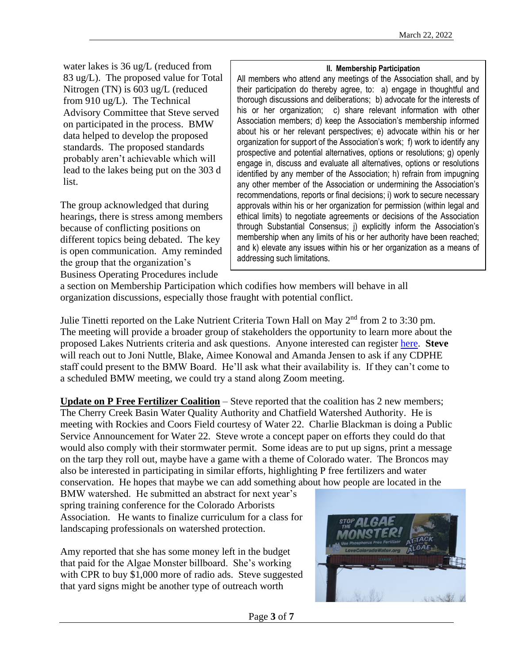water lakes is 36 ug/L (reduced from 83 ug/L). The proposed value for Total Nitrogen (TN) is 603 ug/L (reduced from 910 ug/L). The Technical Advisory Committee that Steve served on participated in the process. BMW data helped to develop the proposed standards. The proposed standards probably aren't achievable which will lead to the lakes being put on the 303 d list.

The group acknowledged that during hearings, there is stress among members because of conflicting positions on different topics being debated. The key is open communication. Amy reminded the group that the organization's Business Operating Procedures include

### **II. Membership Participation**

All members who attend any meetings of the Association shall, and by their participation do thereby agree, to: a) engage in thoughtful and thorough discussions and deliberations; b) advocate for the interests of his or her organization; c) share relevant information with other Association members; d) keep the Association's membership informed about his or her relevant perspectives; e) advocate within his or her organization for support of the Association's work; f) work to identify any prospective and potential alternatives, options or resolutions; g) openly engage in, discuss and evaluate all alternatives, options or resolutions identified by any member of the Association; h) refrain from impugning any other member of the Association or undermining the Association's recommendations, reports or final decisions; i) work to secure necessary approvals within his or her organization for permission (within legal and ethical limits) to negotiate agreements or decisions of the Association through Substantial Consensus; j) explicitly inform the Association's membership when any limits of his or her authority have been reached; and k) elevate any issues within his or her organization as a means of addressing such limitations*.*

a section on Membership Participation which codifies how members will behave in all organization discussions, especially those fraught with potential conflict.

Julie Tinetti reported on the Lake Nutrient Criteria Town Hall on May 2<sup>nd</sup> from 2 to 3:30 pm. The meeting will provide a broader group of stakeholders the opportunity to learn more about the proposed Lakes Nutrients criteria and ask questions. Anyone interested can register [here.](https://us02web.zoom.us/meeting/register/tZIkduuuqT4pGNWshCObFZ6G6mJtjEToO9Lf) **Steve**  will reach out to Joni Nuttle, Blake, Aimee Konowal and Amanda Jensen to ask if any CDPHE staff could present to the BMW Board. He'll ask what their availability is. If they can't come to a scheduled BMW meeting, we could try a stand along Zoom meeting.

**Update on P Free Fertilizer Coalition** – Steve reported that the coalition has 2 new members; The Cherry Creek Basin Water Quality Authority and Chatfield Watershed Authority. He is meeting with Rockies and Coors Field courtesy of Water 22. Charlie Blackman is doing a Public Service Announcement for Water 22. Steve wrote a concept paper on efforts they could do that would also comply with their stormwater permit. Some ideas are to put up signs, print a message on the tarp they roll out, maybe have a game with a theme of Colorado water. The Broncos may also be interested in participating in similar efforts, highlighting P free fertilizers and water conservation. He hopes that maybe we can add something about how people are located in the

BMW watershed. He submitted an abstract for next year's spring training conference for the Colorado Arborists Association. He wants to finalize curriculum for a class for landscaping professionals on watershed protection.

Amy reported that she has some money left in the budget that paid for the Algae Monster billboard. She's working with CPR to buy \$1,000 more of radio ads. Steve suggested that yard signs might be another type of outreach worth

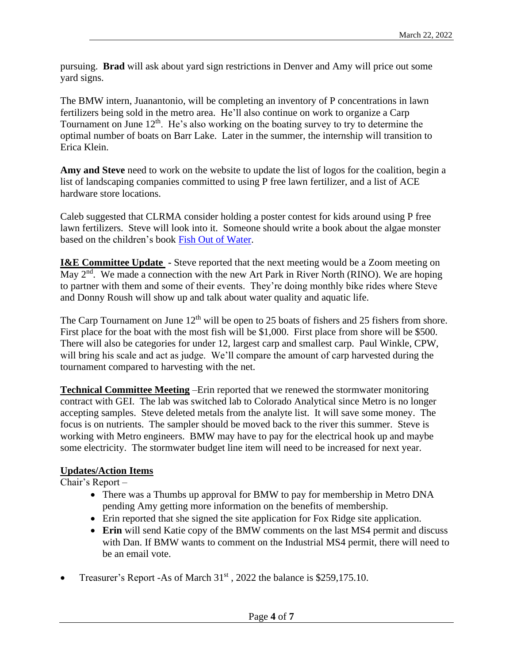pursuing. **Brad** will ask about yard sign restrictions in Denver and Amy will price out some yard signs.

The BMW intern, Juanantonio, will be completing an inventory of P concentrations in lawn fertilizers being sold in the metro area. He'll also continue on work to organize a Carp Tournament on June 12<sup>th</sup>. He's also working on the boating survey to try to determine the optimal number of boats on Barr Lake. Later in the summer, the internship will transition to Erica Klein.

Amy and Steve need to work on the website to update the list of logos for the coalition, begin a list of landscaping companies committed to using P free lawn fertilizer, and a list of ACE hardware store locations.

Caleb suggested that CLRMA consider holding a poster contest for kids around using P free lawn fertilizers. Steve will look into it. Someone should write a book about the algae monster based on the children's book [Fish Out of Water.](https://www.amazon.com/Fish-Out-Water-Beginner-Books/dp/0394800230/ref=asc_df_0394800230/?tag=hyprod-20&linkCode=df0&hvadid=312106842432&hvpos=&hvnetw=g&hvrand=6765789766350819156&hvpone=&hvptwo=&hvqmt=&hvdev=c&hvdvcmdl=&hvlocint=&hvlocphy=9028749&hvtargid=pla-627181146472&psc=1)

**I&E Committee Update** - Steve reported that the next meeting would be a Zoom meeting on May 2<sup>nd</sup>. We made a connection with the new Art Park in River North (RINO). We are hoping to partner with them and some of their events. They're doing monthly bike rides where Steve and Donny Roush will show up and talk about water quality and aquatic life.

The Carp Tournament on June  $12<sup>th</sup>$  will be open to 25 boats of fishers and 25 fishers from shore. First place for the boat with the most fish will be \$1,000. First place from shore will be \$500. There will also be categories for under 12, largest carp and smallest carp. Paul Winkle, CPW, will bring his scale and act as judge. We'll compare the amount of carp harvested during the tournament compared to harvesting with the net.

**Technical Committee Meeting** –Erin reported that we renewed the stormwater monitoring contract with GEI. The lab was switched lab to Colorado Analytical since Metro is no longer accepting samples. Steve deleted metals from the analyte list. It will save some money. The focus is on nutrients. The sampler should be moved back to the river this summer. Steve is working with Metro engineers. BMW may have to pay for the electrical hook up and maybe some electricity. The stormwater budget line item will need to be increased for next year.

# **Updates/Action Items**

Chair's Report –

- There was a Thumbs up approval for BMW to pay for membership in Metro DNA pending Amy getting more information on the benefits of membership.
- Erin reported that she signed the site application for Fox Ridge site application.
- **Erin** will send Katie copy of the BMW comments on the last MS4 permit and discuss with Dan. If BMW wants to comment on the Industrial MS4 permit, there will need to be an email vote.
- Treasurer's Report -As of March  $31<sup>st</sup>$ , 2022 the balance is \$259,175.10.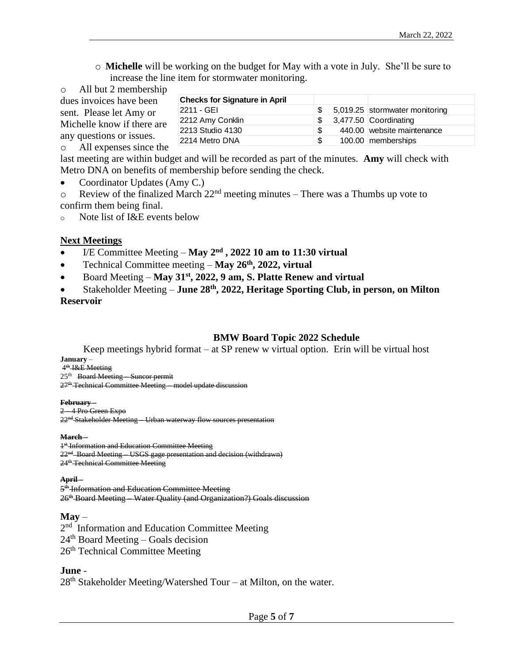o **Michelle** will be working on the budget for May with a vote in July. She'll be sure to increase the line item for stormwater monitoring.

| $\circ$ All but 2 membership                                                      |                                      |    |                                |
|-----------------------------------------------------------------------------------|--------------------------------------|----|--------------------------------|
| dues invoices have been                                                           | <b>Checks for Signature in April</b> |    |                                |
| sent. Please let Amy or<br>Michelle know if there are<br>any questions or issues. | 2211 - GEI                           |    | 5,019.25 stormwater monitoring |
|                                                                                   | 2212 Amy Conklin                     |    | 3,477.50 Coordinating          |
|                                                                                   | 2213 Studio 4130                     |    | 440.00 website maintenance     |
|                                                                                   | 2214 Metro DNA                       | -S | 100.00 memberships             |
| o All expenses since the                                                          |                                      |    |                                |

last meeting are within budget and will be recorded as part of the minutes. **Amy** will check with Metro DNA on benefits of membership before sending the check.

- Coordinator Updates (Amy C.)
- $\circ$  Review of the finalized March 22<sup>nd</sup> meeting minutes There was a Thumbs up vote to confirm them being final.

o Note list of I&E events below

## **Next Meetings**

- I/E Committee Meeting May 2<sup>nd</sup>, 2022 10 am to 11:30 virtual
- Technical Committee meeting **May 26th, 2022, virtual**
- Board Meeting **May 31st, 2022, 9 am, S. Platte Renew and virtual**
- Stakeholder Meeting **June 28th, 2022, Heritage Sporting Club, in person, on Milton Reservoir**

## **BMW Board Topic 2022 Schedule**

Keep meetings hybrid format – at SP renew w virtual option. Erin will be virtual host **January** – 4<sup>th</sup> I&E Meeting

25<sup>th</sup> Board Meeting Suncor permit 27<sup>th</sup> Technical Committee Meeting – model update discussion

#### **February** –

2 – 4 Pro Green Expo 22<sup>nd</sup> Stakeholder Meeting – Urban waterway flow sources presentation

#### **March** –

<sup>1<sup>st</sup> Information and Education Committee Meeting</sup> 22<sup>nd</sup> Board Meeting USGS gage presentation and decision (withdrawn) 24<sup>th</sup> Technical Committee Meeting

**April** –

5<sup>th</sup> Information and Education Committee Meeting 26th Board Meeting – Water Quality (and Organization?) Goals discussion

### **May** –

2<sup>nd</sup> Information and Education Committee Meeting  $24<sup>th</sup>$  Board Meeting – Goals decision 26<sup>th</sup> Technical Committee Meeting

## **June** -

28<sup>th</sup> Stakeholder Meeting/Watershed Tour – at Milton, on the water.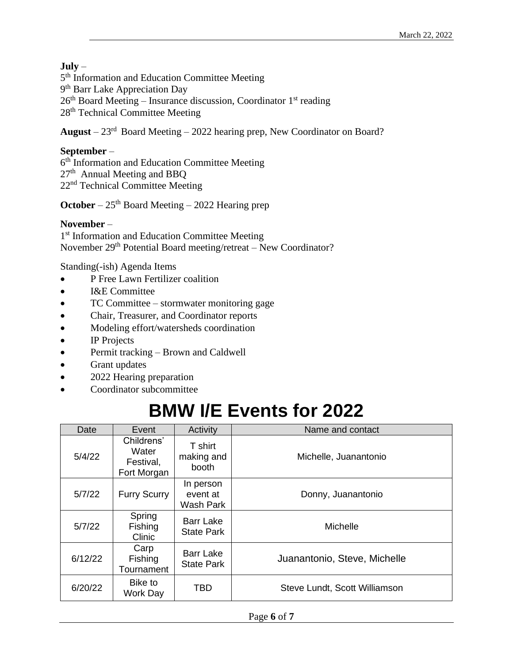# **July** –

5<sup>th</sup> Information and Education Committee Meeting 9<sup>th</sup> Barr Lake Appreciation Day  $26<sup>th</sup>$  Board Meeting – Insurance discussion, Coordinator 1<sup>st</sup> reading 28<sup>th</sup> Technical Committee Meeting

**August** – 23rd Board Meeting – 2022 hearing prep, New Coordinator on Board?

# **September** –

6<sup>th</sup> Information and Education Committee Meeting 27<sup>th</sup> Annual Meeting and BBQ 22nd Technical Committee Meeting

**October** –  $25<sup>th</sup>$  Board Meeting – 2022 Hearing prep

## **November** –

1<sup>st</sup> Information and Education Committee Meeting November 29<sup>th</sup> Potential Board meeting/retreat – New Coordinator?

Standing(-ish) Agenda Items

- P Free Lawn Fertilizer coalition
- I&E Committee
- TC Committee stormwater monitoring gage
- Chair, Treasurer, and Coordinator reports
- Modeling effort/watersheds coordination
- IP Projects
- Permit tracking Brown and Caldwell
- Grant updates
- 2022 Hearing preparation
- Coordinator subcommittee

# **BMW I/E Events for 2022**

| Date    | Event                                           | Activity                                  | Name and contact              |  |
|---------|-------------------------------------------------|-------------------------------------------|-------------------------------|--|
| 5/4/22  | Childrens'<br>Water<br>Festival,<br>Fort Morgan | T shirt<br>making and<br>booth            | Michelle, Juanantonio         |  |
| 5/7/22  | <b>Furry Scurry</b>                             | In person<br>event at<br><b>Wash Park</b> | Donny, Juanantonio            |  |
| 5/7/22  | Spring<br>Fishing<br>Clinic                     | <b>Barr Lake</b><br><b>State Park</b>     | <b>Michelle</b>               |  |
| 6/12/22 | Carp<br>Fishing<br>Tournament                   | <b>Barr Lake</b><br><b>State Park</b>     | Juanantonio, Steve, Michelle  |  |
| 6/20/22 | Bike to<br>Work Day                             | <b>TBD</b>                                | Steve Lundt, Scott Williamson |  |

Page **6** of **7**